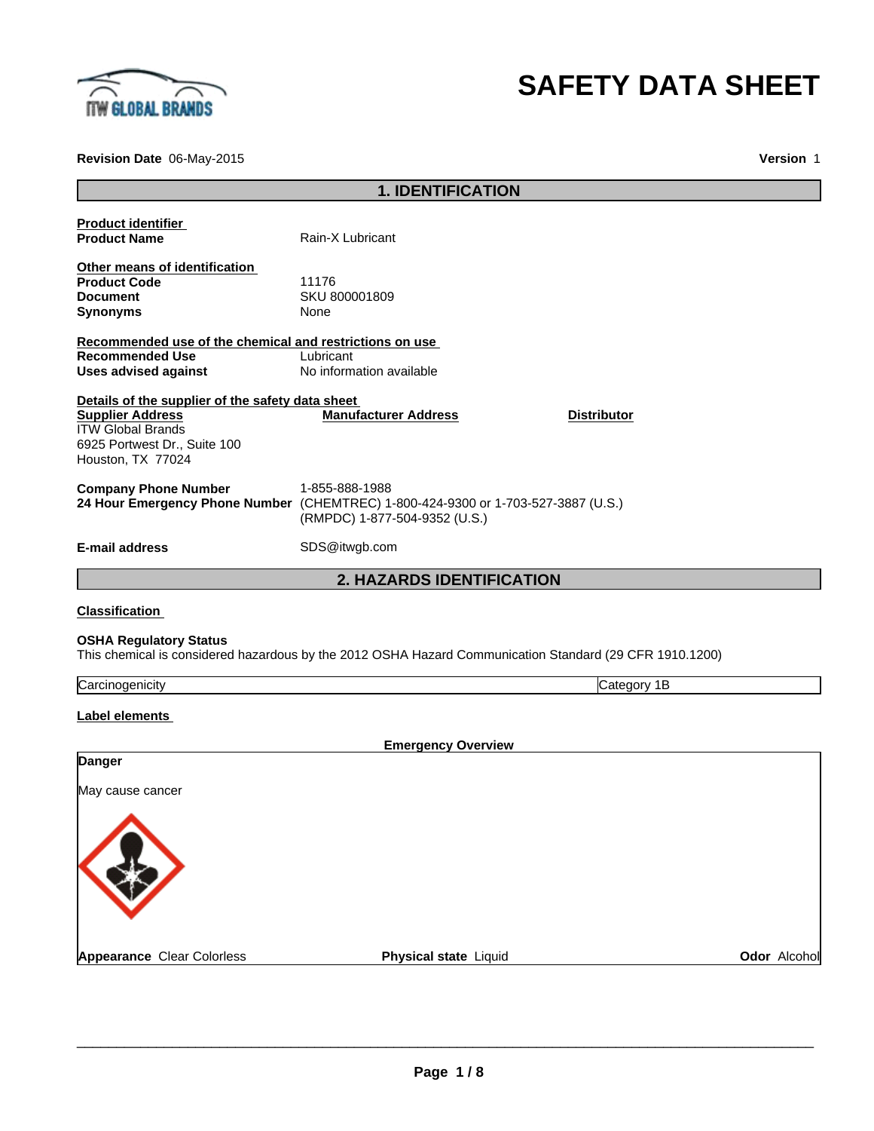

# **SAFETY DATA SHEET**

**Revision Date** 06-May-2015

**Version** 1

|                                                         | <b>1. IDENTIFICATION</b>                                                                                                             |                    |              |
|---------------------------------------------------------|--------------------------------------------------------------------------------------------------------------------------------------|--------------------|--------------|
| <b>Product identifier</b><br><b>Product Name</b>        | Rain-X Lubricant                                                                                                                     |                    |              |
| Other means of identification                           |                                                                                                                                      |                    |              |
| <b>Product Code</b>                                     | 11176                                                                                                                                |                    |              |
| <b>Document</b>                                         | SKU 800001809                                                                                                                        |                    |              |
| <b>Synonyms</b>                                         | None                                                                                                                                 |                    |              |
| Recommended use of the chemical and restrictions on use |                                                                                                                                      |                    |              |
| <b>Recommended Use</b>                                  | Lubricant                                                                                                                            |                    |              |
| <b>Uses advised against</b>                             | No information available                                                                                                             |                    |              |
| Details of the supplier of the safety data sheet        |                                                                                                                                      |                    |              |
| <b>Supplier Address</b>                                 | <b>Manufacturer Address</b>                                                                                                          | <b>Distributor</b> |              |
| <b>ITW Global Brands</b>                                |                                                                                                                                      |                    |              |
| 6925 Portwest Dr., Suite 100<br>Houston, TX 77024       |                                                                                                                                      |                    |              |
| <b>Company Phone Number</b>                             | 1-855-888-1988<br>24 Hour Emergency Phone Number (CHEMTREC) 1-800-424-9300 or 1-703-527-3887 (U.S.)<br>(RMPDC) 1-877-504-9352 (U.S.) |                    |              |
| <b>E-mail address</b>                                   | SDS@itwgb.com                                                                                                                        |                    |              |
|                                                         | <b>2. HAZARDS IDENTIFICATION</b>                                                                                                     |                    |              |
| <b>Classification</b>                                   |                                                                                                                                      |                    |              |
| <b>OSHA Regulatory Status</b>                           | This chemical is considered hazardous by the 2012 OSHA Hazard Communication Standard (29 CFR 1910.1200)                              |                    |              |
| Carcinogenicity                                         |                                                                                                                                      | Category 1B        |              |
| Label elements                                          |                                                                                                                                      |                    |              |
|                                                         | <b>Emergency Overview</b>                                                                                                            |                    |              |
| Danger                                                  |                                                                                                                                      |                    |              |
| May cause cancer                                        |                                                                                                                                      |                    |              |
|                                                         |                                                                                                                                      |                    |              |
| <b>Appearance Clear Colorless</b>                       | Physical state Liquid                                                                                                                |                    | Odor Alcohol |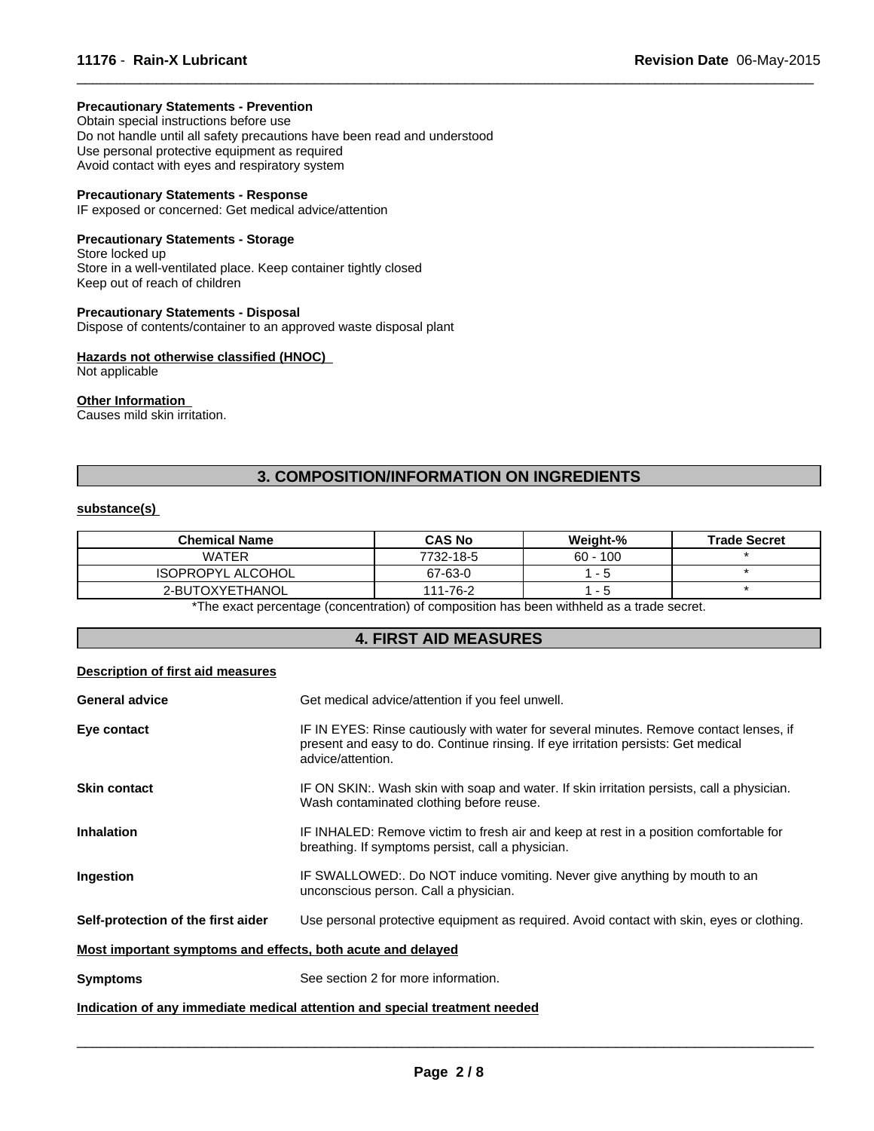### **Precautionary Statements - Prevention**

Obtain special instructions before use Do not handle until all safety precautions have been read and understood Use personal protective equipment as required Avoid contact with eyes and respiratory system

#### **Precautionary Statements - Response**

IF exposed or concerned: Get medical advice/attention

# **Precautionary Statements - Storage**

Store locked up Store in a well-ventilated place. Keep container tightly closed Keep out of reach of children

**Precautionary Statements - Disposal** Dispose of contents/container to an approved waste disposal plant

#### **Hazards not otherwise classified (HNOC)**  Not applicable

# **Other Information**

Causes mild skin irritation.

# **3. COMPOSITION/INFORMATION ON INGREDIENTS**

 $\overline{\phantom{a}}$  ,  $\overline{\phantom{a}}$  ,  $\overline{\phantom{a}}$  ,  $\overline{\phantom{a}}$  ,  $\overline{\phantom{a}}$  ,  $\overline{\phantom{a}}$  ,  $\overline{\phantom{a}}$  ,  $\overline{\phantom{a}}$  ,  $\overline{\phantom{a}}$  ,  $\overline{\phantom{a}}$  ,  $\overline{\phantom{a}}$  ,  $\overline{\phantom{a}}$  ,  $\overline{\phantom{a}}$  ,  $\overline{\phantom{a}}$  ,  $\overline{\phantom{a}}$  ,  $\overline{\phantom{a}}$ 

#### **substance(s)**

| <b>Chemical Name</b>     | <b>CAS No</b> | <b>Weight-%</b> | <b>Trade Secret</b> |
|--------------------------|---------------|-----------------|---------------------|
| <b>WATER</b>             | 7732-18-5     | $60 - 100$      |                     |
| <b>ISOPROPYL ALCOHOL</b> | 67-63-0       | - 5             |                     |
| 2-BUTOXYETHANOL          | 111-76-2      | - 5             |                     |

\*The exact percentage (concentration) of composition has been withheld as a trade secret.

# **4. FIRST AID MEASURES**

#### **Description of first aid measures**

| <b>General advice</b>                                       | Get medical advice/attention if you feel unwell.                                                                                                                                                 |
|-------------------------------------------------------------|--------------------------------------------------------------------------------------------------------------------------------------------------------------------------------------------------|
| Eye contact                                                 | IF IN EYES: Rinse cautiously with water for several minutes. Remove contact lenses, if<br>present and easy to do. Continue rinsing. If eye irritation persists: Get medical<br>advice/attention. |
| <b>Skin contact</b>                                         | IF ON SKIN:. Wash skin with soap and water. If skin irritation persists, call a physician.<br>Wash contaminated clothing before reuse.                                                           |
| <b>Inhalation</b>                                           | IF INHALED: Remove victim to fresh air and keep at rest in a position comfortable for<br>breathing. If symptoms persist, call a physician.                                                       |
| <b>Ingestion</b>                                            | IF SWALLOWED:. Do NOT induce vomiting. Never give anything by mouth to an<br>unconscious person. Call a physician.                                                                               |
| Self-protection of the first aider                          | Use personal protective equipment as required. Avoid contact with skin, eyes or clothing.                                                                                                        |
| Most important symptoms and effects, both acute and delayed |                                                                                                                                                                                                  |
| <b>Symptoms</b>                                             | See section 2 for more information.                                                                                                                                                              |
|                                                             | Indication of any immediate medical attention and special treatment needed                                                                                                                       |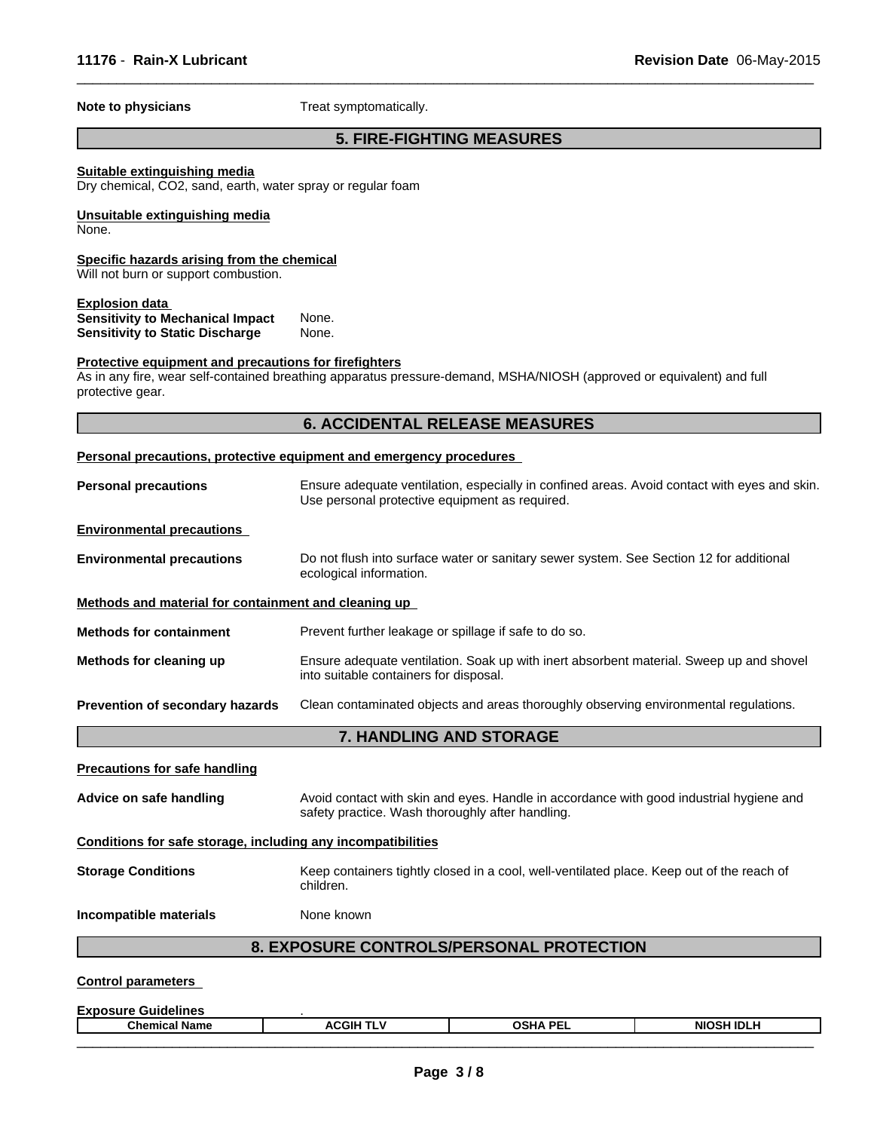**Note to physicians** Treat symptomatically.

# **5. FIRE-FIGHTING MEASURES**

 $\overline{\phantom{a}}$  ,  $\overline{\phantom{a}}$  ,  $\overline{\phantom{a}}$  ,  $\overline{\phantom{a}}$  ,  $\overline{\phantom{a}}$  ,  $\overline{\phantom{a}}$  ,  $\overline{\phantom{a}}$  ,  $\overline{\phantom{a}}$  ,  $\overline{\phantom{a}}$  ,  $\overline{\phantom{a}}$  ,  $\overline{\phantom{a}}$  ,  $\overline{\phantom{a}}$  ,  $\overline{\phantom{a}}$  ,  $\overline{\phantom{a}}$  ,  $\overline{\phantom{a}}$  ,  $\overline{\phantom{a}}$ 

# **Suitable extinguishing media**

Dry chemical, CO2, sand, earth, water spray or regular foam

#### **Unsuitable extinguishing media** None.

# **Specific hazards arising from the chemical**

Will not burn or support combustion.

# **Explosion data**

**Sensitivity to Mechanical Impact None.**<br>**Sensitivity to Static Discharge Mone. Sensitivity to Static Discharge** 

### **Protective equipment and precautions for firefighters**

As in any fire, wear self-contained breathing apparatus pressure-demand, MSHA/NIOSH (approved or equivalent) and full protective gear.

|                                                              | <b>6. ACCIDENTAL RELEASE MEASURES</b>                                                                                                          |
|--------------------------------------------------------------|------------------------------------------------------------------------------------------------------------------------------------------------|
|                                                              | Personal precautions, protective equipment and emergency procedures                                                                            |
| <b>Personal precautions</b>                                  | Ensure adequate ventilation, especially in confined areas. Avoid contact with eyes and skin.<br>Use personal protective equipment as required. |
| <b>Environmental precautions</b>                             |                                                                                                                                                |
| <b>Environmental precautions</b>                             | Do not flush into surface water or sanitary sewer system. See Section 12 for additional<br>ecological information.                             |
| Methods and material for containment and cleaning up         |                                                                                                                                                |
| <b>Methods for containment</b>                               | Prevent further leakage or spillage if safe to do so.                                                                                          |
| Methods for cleaning up                                      | Ensure adequate ventilation. Soak up with inert absorbent material. Sweep up and shovel<br>into suitable containers for disposal.              |
| Prevention of secondary hazards                              | Clean contaminated objects and areas thoroughly observing environmental regulations.                                                           |
|                                                              | 7. HANDLING AND STORAGE                                                                                                                        |
| <b>Precautions for safe handling</b>                         |                                                                                                                                                |
| Advice on safe handling                                      | Avoid contact with skin and eyes. Handle in accordance with good industrial hygiene and<br>safety practice. Wash thoroughly after handling.    |
| Conditions for safe storage, including any incompatibilities |                                                                                                                                                |
| <b>Storage Conditions</b>                                    | Keep containers tightly closed in a cool, well-ventilated place. Keep out of the reach of<br>children.                                         |
| Incompatible materials                                       | None known                                                                                                                                     |
|                                                              |                                                                                                                                                |

**Exposure Guidelines**<br>
Chemical Name **Reserves Containers Chemical Name ACGIH TLV OSHA PEL NIOSH IDLH**  $\overline{\phantom{a}}$  , and the state of the state of the state of the state of the state of the state of the state of the state of the state of the state of the state of the state of the state of the state of the state of the stat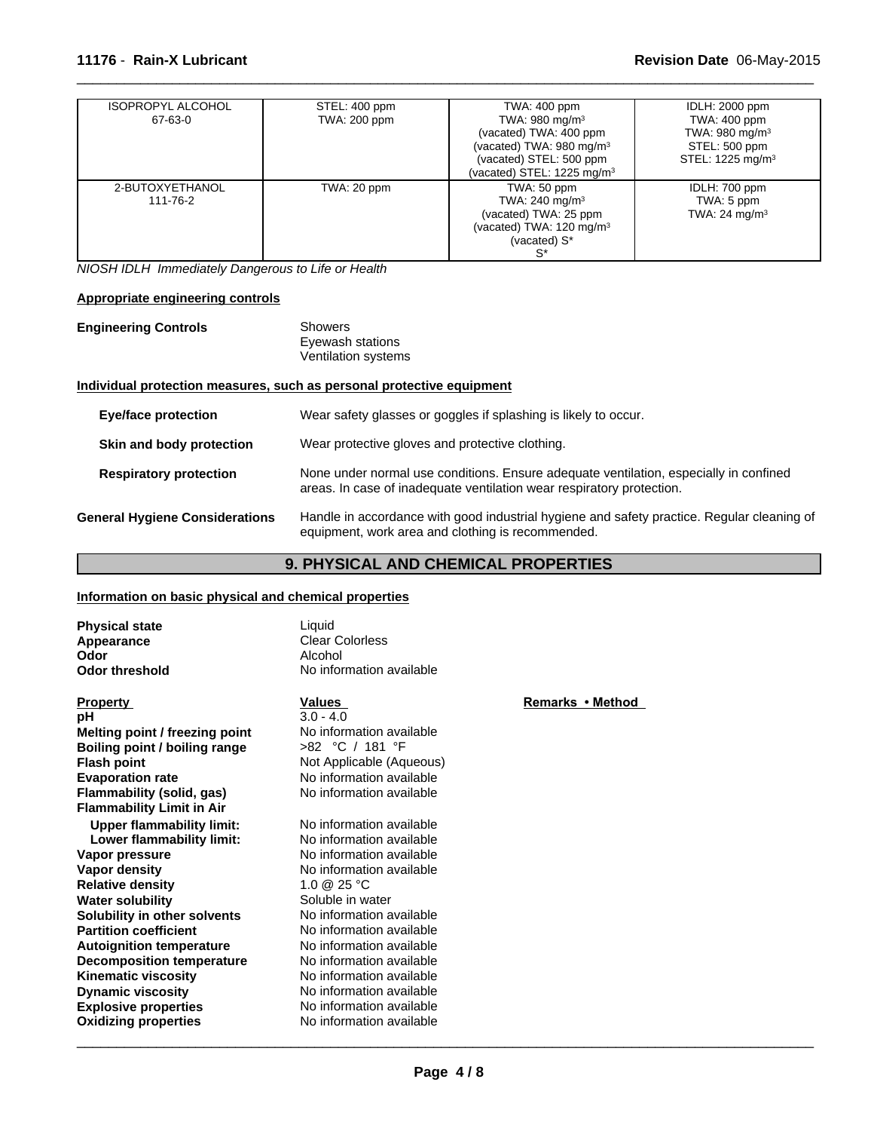| <b>ISOPROPYL ALCOHOL</b><br>67-63-0 | STEL: 400 ppm<br>TWA: 200 ppm | TWA: 400 ppm<br>TWA: $980 \text{ mg/m}^3$                                                                                  | <b>IDLH: 2000 ppm</b><br>TWA: 400 ppm                                       |
|-------------------------------------|-------------------------------|----------------------------------------------------------------------------------------------------------------------------|-----------------------------------------------------------------------------|
|                                     |                               | (vacated) TWA: 400 ppm<br>(vacated) TWA: 980 mg/m <sup>3</sup><br>(vacated) STEL: 500 ppm<br>(vacated) STEL: 1225 mg/m $3$ | TWA: 980 mg/m <sup>3</sup><br>STEL: 500 ppm<br>STEL: 1225 mg/m <sup>3</sup> |
| 2-BUTOXYETHANOL<br>111-76-2         | TWA: 20 ppm                   | TWA: 50 ppm<br>TWA: 240 mg/m $3$<br>(vacated) TWA: 25 ppm<br>(vacated) TWA: $120 \text{ mg/m}^3$<br>(vacated) S*           | IDLH: 700 ppm<br>TWA: 5 ppm<br>TWA: $24 \text{ mg/m}^3$                     |

 $\overline{\phantom{a}}$  ,  $\overline{\phantom{a}}$  ,  $\overline{\phantom{a}}$  ,  $\overline{\phantom{a}}$  ,  $\overline{\phantom{a}}$  ,  $\overline{\phantom{a}}$  ,  $\overline{\phantom{a}}$  ,  $\overline{\phantom{a}}$  ,  $\overline{\phantom{a}}$  ,  $\overline{\phantom{a}}$  ,  $\overline{\phantom{a}}$  ,  $\overline{\phantom{a}}$  ,  $\overline{\phantom{a}}$  ,  $\overline{\phantom{a}}$  ,  $\overline{\phantom{a}}$  ,  $\overline{\phantom{a}}$ 

*NIOSH IDLH Immediately Dangerous to Life or Health*

# **Appropriate engineering controls**

| <b>Engineering Controls</b> | Showers             |  |
|-----------------------------|---------------------|--|
|                             | Eyewash stations    |  |
|                             | Ventilation systems |  |

# **Individual protection measures, such as personal protective equipment**

| <b>Eye/face protection</b>            | Wear safety glasses or goggles if splashing is likely to occur.                                                                                                |
|---------------------------------------|----------------------------------------------------------------------------------------------------------------------------------------------------------------|
| Skin and body protection              | Wear protective gloves and protective clothing.                                                                                                                |
| <b>Respiratory protection</b>         | None under normal use conditions. Ensure adequate ventilation, especially in confined<br>areas. In case of inadequate ventilation wear respiratory protection. |
| <b>General Hygiene Considerations</b> | Handle in accordance with good industrial hygiene and safety practice. Regular cleaning of<br>equipment, work area and clothing is recommended.                |

# **9. PHYSICAL AND CHEMICAL PROPERTIES**

# **Information on basic physical and chemical properties**

| <b>Physical state</b><br>Appearance<br>Odor<br><b>Odor threshold</b> | Liquid<br><b>Clear Colorless</b><br>Alcohol<br>No information available |                  |
|----------------------------------------------------------------------|-------------------------------------------------------------------------|------------------|
| <b>Property</b>                                                      | Values                                                                  | Remarks • Method |
| рH                                                                   | $3.0 - 4.0$                                                             |                  |
| Melting point / freezing point                                       | No information available                                                |                  |
| Boiling point / boiling range                                        | >82 °C / 181 °F                                                         |                  |
| <b>Flash point</b>                                                   | Not Applicable (Aqueous)                                                |                  |
| <b>Evaporation rate</b>                                              | No information available                                                |                  |
| Flammability (solid, gas)                                            | No information available                                                |                  |
| <b>Flammability Limit in Air</b>                                     |                                                                         |                  |
| <b>Upper flammability limit:</b>                                     | No information available                                                |                  |
| Lower flammability limit:                                            | No information available                                                |                  |
| Vapor pressure                                                       | No information available                                                |                  |
| Vapor density                                                        | No information available                                                |                  |
| <b>Relative density</b>                                              | 1.0 @ 25 °C                                                             |                  |
| <b>Water solubility</b>                                              | Soluble in water                                                        |                  |
| Solubility in other solvents                                         | No information available                                                |                  |
| <b>Partition coefficient</b>                                         | No information available                                                |                  |
| <b>Autoignition temperature</b>                                      | No information available                                                |                  |
| <b>Decomposition temperature</b>                                     | No information available                                                |                  |
| <b>Kinematic viscosity</b>                                           | No information available                                                |                  |
| <b>Dynamic viscosity</b>                                             | No information available                                                |                  |
| <b>Explosive properties</b>                                          | No information available                                                |                  |
| <b>Oxidizing properties</b>                                          | No information available                                                |                  |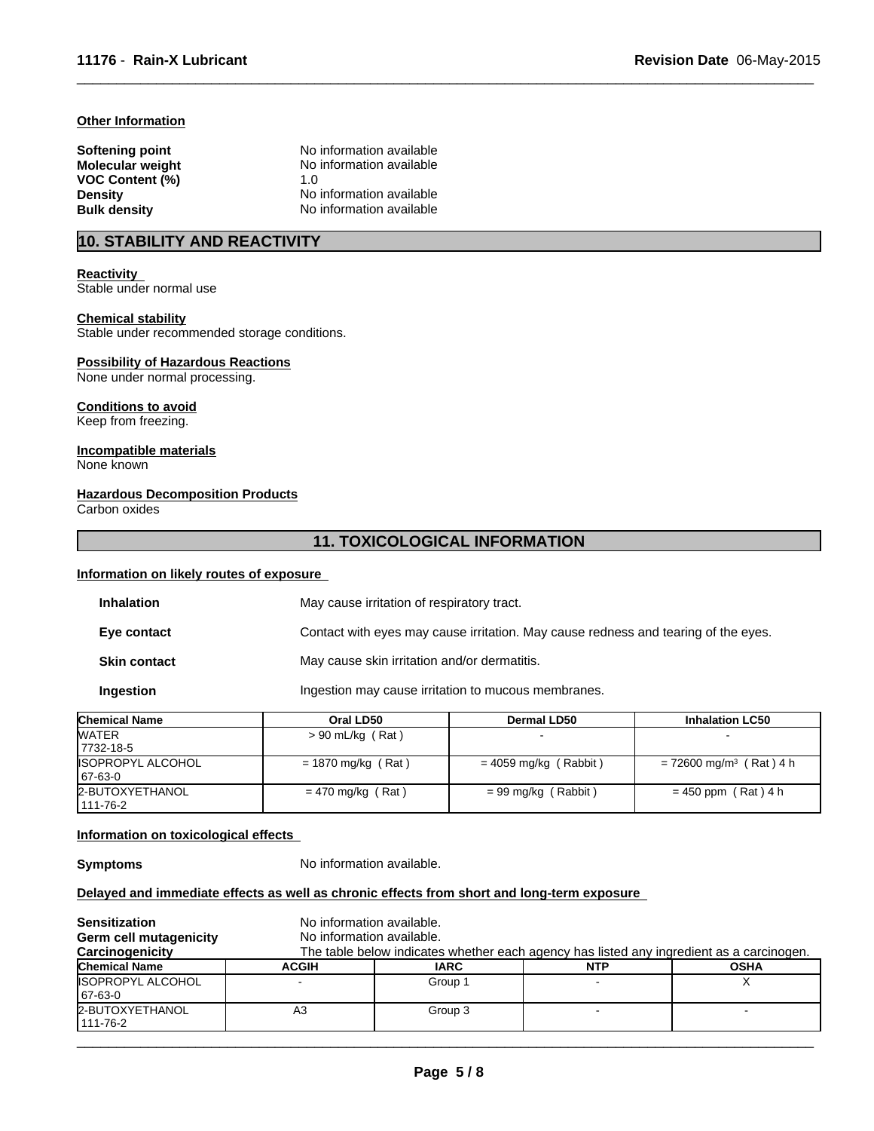# **Other Information**

| Softening point<br><b>Molecular weight</b> | No information available<br>No information available |  |
|--------------------------------------------|------------------------------------------------------|--|
| <b>VOC Content (%)</b>                     | 1. $\Omega$                                          |  |
| <b>Density</b>                             | No information available                             |  |
| <b>Bulk density</b>                        | No information available                             |  |

# **10. STABILITY AND REACTIVITY**

# **Reactivity**

Stable under normal use

#### **Chemical stability**

Stable under recommended storage conditions.

# **Possibility of Hazardous Reactions**

None under normal processing.

#### **Conditions to avoid**

Keep from freezing.

#### **Incompatible materials** None known

# **Hazardous Decomposition Products**

Carbon oxides

# **11. TOXICOLOGICAL INFORMATION**

 $\overline{\phantom{a}}$  ,  $\overline{\phantom{a}}$  ,  $\overline{\phantom{a}}$  ,  $\overline{\phantom{a}}$  ,  $\overline{\phantom{a}}$  ,  $\overline{\phantom{a}}$  ,  $\overline{\phantom{a}}$  ,  $\overline{\phantom{a}}$  ,  $\overline{\phantom{a}}$  ,  $\overline{\phantom{a}}$  ,  $\overline{\phantom{a}}$  ,  $\overline{\phantom{a}}$  ,  $\overline{\phantom{a}}$  ,  $\overline{\phantom{a}}$  ,  $\overline{\phantom{a}}$  ,  $\overline{\phantom{a}}$ 

#### **Information on likely routes of exposure**

| <b>Inhalation</b>   | May cause irritation of respiratory tract.                                         |
|---------------------|------------------------------------------------------------------------------------|
| Eye contact         | Contact with eyes may cause irritation. May cause redness and tearing of the eyes. |
| <b>Skin contact</b> | May cause skin irritation and/or dermatitis.                                       |
| Ingestion           | Ingestion may cause irritation to mucous membranes.                                |

| <b>Chemical Name</b>     | Oral LD50            | <b>Dermal LD50</b>      | <b>Inhalation LC50</b>                |
|--------------------------|----------------------|-------------------------|---------------------------------------|
| <b>WATER</b>             | $> 90$ mL/kg (Rat)   |                         |                                       |
| 17732-18-5               |                      |                         |                                       |
| <b>ISOPROPYL ALCOHOL</b> | $= 1870$ mg/kg (Rat) | $= 4059$ mg/kg (Rabbit) | $= 72600$ mg/m <sup>3</sup> (Rat) 4 h |
| 67-63-0                  |                      |                         |                                       |
| 2-BUTOXYETHANOL          | $= 470$ mg/kg (Rat)  | = 99 mg/kg (Rabbit)     | $= 450$ ppm (Rat) 4 h                 |
| 111-76-2                 |                      |                         |                                       |

### **Information on toxicological effects**

**Symptoms** No information available.

# **Delayed and immediate effects as well as chronic effects from short and long-term exposure**

| <b>Sensitization</b><br>Germ cell mutagenicity<br>Carcinogenicity | No information available.<br>No information available. |             | The table below indicates whether each agency has listed any ingredient as a carcinogen. |             |
|-------------------------------------------------------------------|--------------------------------------------------------|-------------|------------------------------------------------------------------------------------------|-------------|
| <b>Chemical Name</b>                                              | <b>ACGIH</b>                                           | <b>IARC</b> | <b>NTP</b>                                                                               | <b>OSHA</b> |
| <b>ISOPROPYL ALCOHOL</b><br>67-63-0                               |                                                        | Group 1     |                                                                                          |             |
| 2-BUTOXYETHANOL<br>111-76-2                                       | A3                                                     | Group 3     |                                                                                          |             |
|                                                                   |                                                        |             |                                                                                          |             |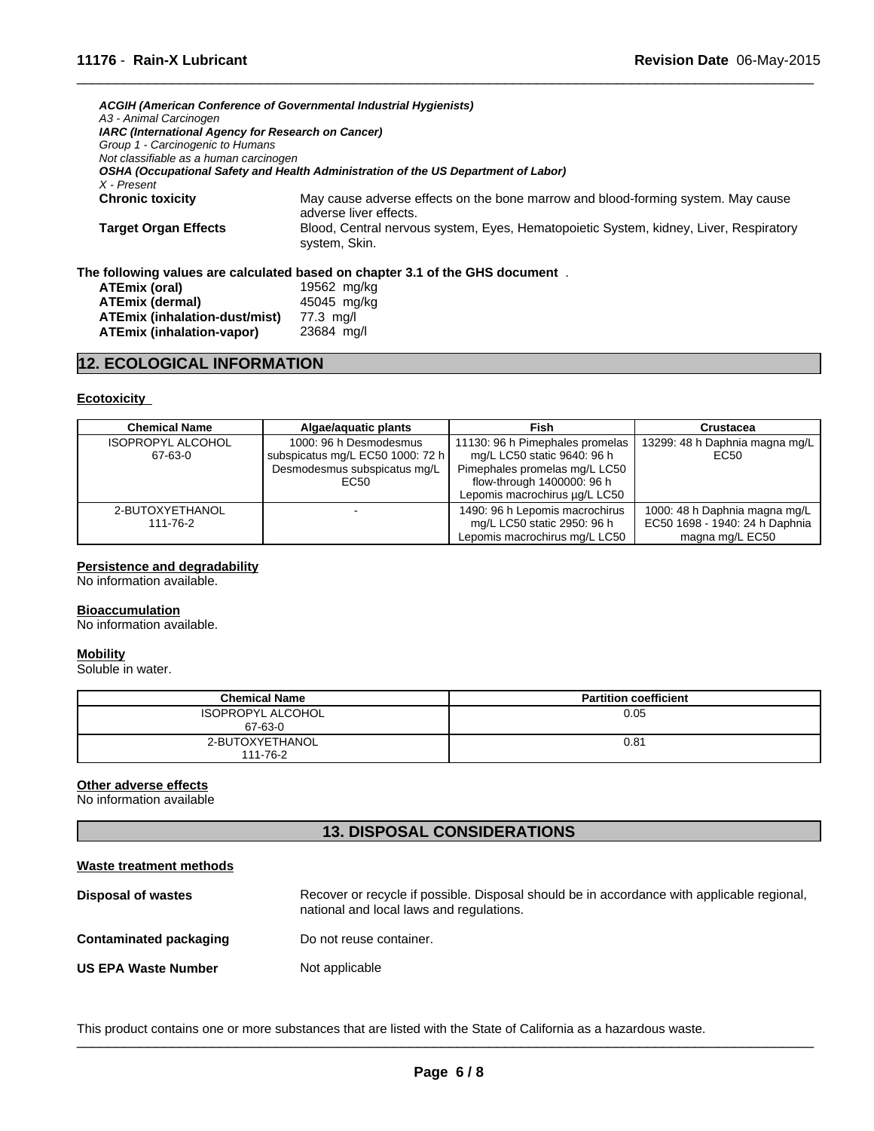|                                                    | ACGIH (American Conference of Governmental Industrial Hygienists)                                          |
|----------------------------------------------------|------------------------------------------------------------------------------------------------------------|
| A3 - Animal Carcinogen                             |                                                                                                            |
| IARC (International Agency for Research on Cancer) |                                                                                                            |
| Group 1 - Carcinogenic to Humans                   |                                                                                                            |
| Not classifiable as a human carcinogen             |                                                                                                            |
|                                                    | OSHA (Occupational Safety and Health Administration of the US Department of Labor)                         |
| X - Present                                        |                                                                                                            |
| <b>Chronic toxicity</b>                            | May cause adverse effects on the bone marrow and blood-forming system. May cause<br>adverse liver effects. |
| <b>Target Organ Effects</b>                        | Blood, Central nervous system, Eyes, Hematopoietic System, kidney, Liver, Respiratory<br>system, Skin.     |
|                                                    | The following values are calculated based on chapter 3.1 of the GHS document $\,$ .                        |
| ATEmix (oral)                                      | 19562 mg/ka                                                                                                |

 $\overline{\phantom{a}}$  ,  $\overline{\phantom{a}}$  ,  $\overline{\phantom{a}}$  ,  $\overline{\phantom{a}}$  ,  $\overline{\phantom{a}}$  ,  $\overline{\phantom{a}}$  ,  $\overline{\phantom{a}}$  ,  $\overline{\phantom{a}}$  ,  $\overline{\phantom{a}}$  ,  $\overline{\phantom{a}}$  ,  $\overline{\phantom{a}}$  ,  $\overline{\phantom{a}}$  ,  $\overline{\phantom{a}}$  ,  $\overline{\phantom{a}}$  ,  $\overline{\phantom{a}}$  ,  $\overline{\phantom{a}}$ 

| <b>ATEmix (inhalation-dust/mist)</b> | 77.3 mg/l  |
|--------------------------------------|------------|
| <b>ATEmix (inhalation-vapor)</b>     | 23684 mg/l |
|                                      |            |

**ATEmix (dermal)** 45045 mg/kg

# **12. ECOLOGICAL INFORMATION**

#### **Ecotoxicity**

| <b>Chemical Name</b>                | Algae/aguatic plants                                                                               | Fish                                                                                                                                                           | Crustacea                                                                          |
|-------------------------------------|----------------------------------------------------------------------------------------------------|----------------------------------------------------------------------------------------------------------------------------------------------------------------|------------------------------------------------------------------------------------|
| <b>ISOPROPYL ALCOHOL</b><br>67-63-0 | 1000: 96 h Desmodesmus<br>subspicatus mg/L EC50 1000: 72 h<br>Desmodesmus subspicatus mg/L<br>EC50 | 11130: 96 h Pimephales promelas<br>mg/L LC50 static 9640: 96 h<br>Pimephales promelas mg/L LC50<br>flow-through 1400000: 96 h<br>Lepomis macrochirus µg/L LC50 | 13299: 48 h Daphnia magna mg/L<br>EC50                                             |
| 2-BUTOXYETHANOL<br>111-76-2         |                                                                                                    | 1490: 96 h Lepomis macrochirus<br>mg/L LC50 static 2950: 96 h<br>Lepomis macrochirus mg/L LC50                                                                 | 1000: 48 h Daphnia magna mg/L<br>EC50 1698 - 1940: 24 h Daphnia<br>magna mg/L EC50 |

#### **Persistence and degradability**

No information available.

#### **Bioaccumulation**

No information available.

#### **Mobility**

Soluble in water.

| <b>Chemical Name</b>                | <b>Partition coefficient</b> |
|-------------------------------------|------------------------------|
| <b>ISOPROPYL ALCOHOL</b><br>67-63-0 | 0.05                         |
| 2-BUTOXYETHANOL<br>111-76-2         | 0.81                         |

# **Other adverse effects**

No information available

# **13. DISPOSAL CONSIDERATIONS**

| Waste treatment methods       |                                                                                                                                        |
|-------------------------------|----------------------------------------------------------------------------------------------------------------------------------------|
| Disposal of wastes            | Recover or recycle if possible. Disposal should be in accordance with applicable regional,<br>national and local laws and regulations. |
| <b>Contaminated packaging</b> | Do not reuse container.                                                                                                                |
| <b>US EPA Waste Number</b>    | Not applicable                                                                                                                         |

This product contains one or more substances that are listed with the State of California as a hazardous waste.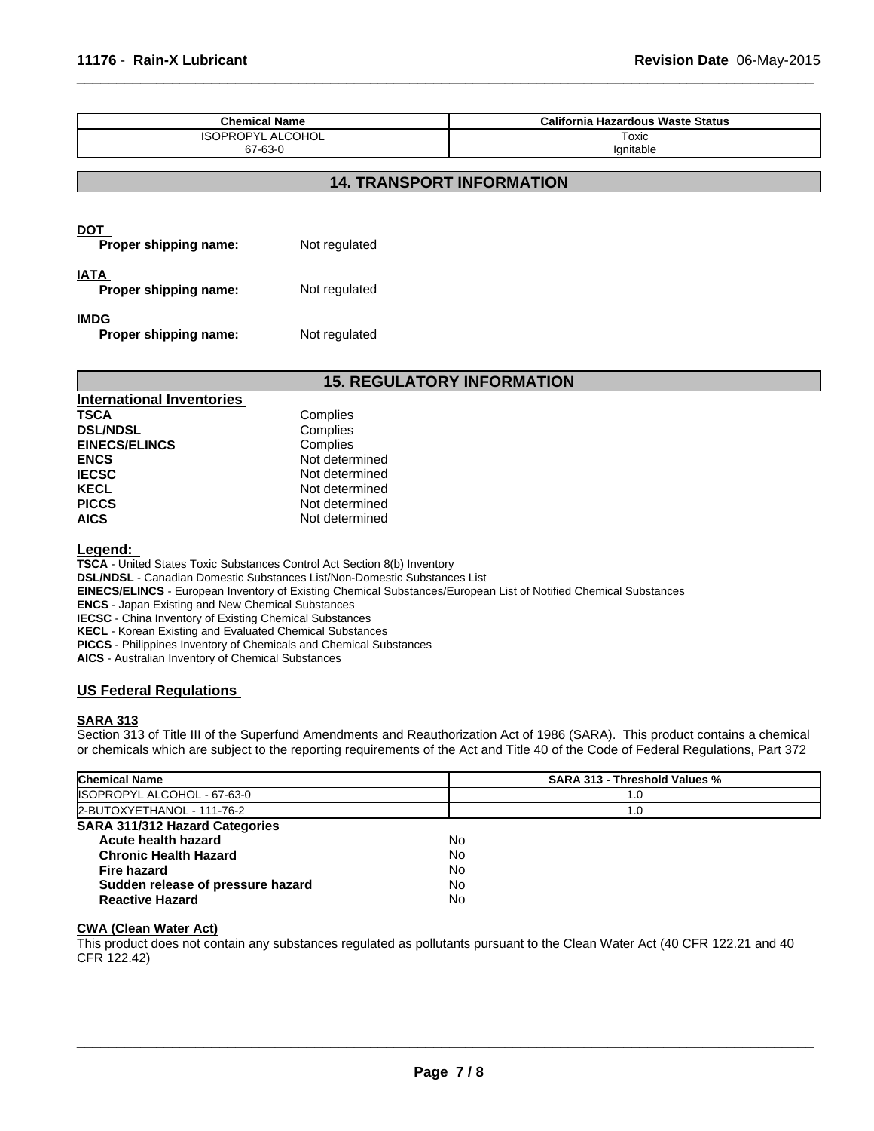| <b>Chemical Name</b>                 |               | <b>California Hazardous Waste Status</b> |
|--------------------------------------|---------------|------------------------------------------|
| <b>ISOPROPYL ALCOHOL</b>             |               | Toxic                                    |
| 67-63-0                              |               | Ignitable                                |
|                                      |               | <b>14. TRANSPORT INFORMATION</b>         |
| <b>DOT</b><br>Proper shipping name:  | Not regulated |                                          |
| <b>IATA</b><br>Proper shipping name: | Not regulated |                                          |

 $\overline{\phantom{a}}$  ,  $\overline{\phantom{a}}$  ,  $\overline{\phantom{a}}$  ,  $\overline{\phantom{a}}$  ,  $\overline{\phantom{a}}$  ,  $\overline{\phantom{a}}$  ,  $\overline{\phantom{a}}$  ,  $\overline{\phantom{a}}$  ,  $\overline{\phantom{a}}$  ,  $\overline{\phantom{a}}$  ,  $\overline{\phantom{a}}$  ,  $\overline{\phantom{a}}$  ,  $\overline{\phantom{a}}$  ,  $\overline{\phantom{a}}$  ,  $\overline{\phantom{a}}$  ,  $\overline{\phantom{a}}$ 

**IMDG** 

**Proper shipping name:** Not regulated

# **15. REGULATORY INFORMATION**

| International Inventories |                |
|---------------------------|----------------|
| <b>TSCA</b>               | Complies       |
| <b>DSL/NDSL</b>           | Complies       |
| <b>EINECS/ELINCS</b>      | Complies       |
| <b>ENCS</b>               | Not determined |
| <b>IECSC</b>              | Not determined |
| <b>KECL</b>               | Not determined |
| <b>PICCS</b>              | Not determined |
| <b>AICS</b>               | Not determined |

**Legend:** 

**TSCA** - United States Toxic Substances Control Act Section 8(b) Inventory

**DSL/NDSL** - Canadian Domestic Substances List/Non-Domestic Substances List

**EINECS/ELINCS** - European Inventory of Existing Chemical Substances/European List of Notified Chemical Substances

**ENCS** - Japan Existing and New Chemical Substances

**IECSC** - China Inventory of Existing Chemical Substances

**KECL** - Korean Existing and Evaluated Chemical Substances

**PICCS** - Philippines Inventory of Chemicals and Chemical Substances

**AICS** - Australian Inventory of Chemical Substances

# **US Federal Regulations**

# **SARA 313**

Section 313 of Title III of the Superfund Amendments and Reauthorization Act of 1986 (SARA). This product contains a chemical or chemicals which are subject to the reporting requirements of the Act and Title 40 of the Code of Federal Regulations, Part 372

| <b>Chemical Name</b>                  | <b>SARA 313 - Threshold Values %</b> |  |
|---------------------------------------|--------------------------------------|--|
| ISOPROPYL ALCOHOL - 67-63-0           | 1.0                                  |  |
| 2-BUTOXYETHANOL - 111-76-2            | 1.0                                  |  |
| <b>SARA 311/312 Hazard Categories</b> |                                      |  |
| Acute health hazard                   | No                                   |  |
| <b>Chronic Health Hazard</b>          | No                                   |  |
| Fire hazard                           | No                                   |  |
| Sudden release of pressure hazard     | No                                   |  |
| <b>Reactive Hazard</b>                | No                                   |  |

# **CWA (Clean Water Act)**

This product does not contain any substances regulated as pollutants pursuant to the Clean Water Act (40 CFR 122.21 and 40 CFR 122.42)